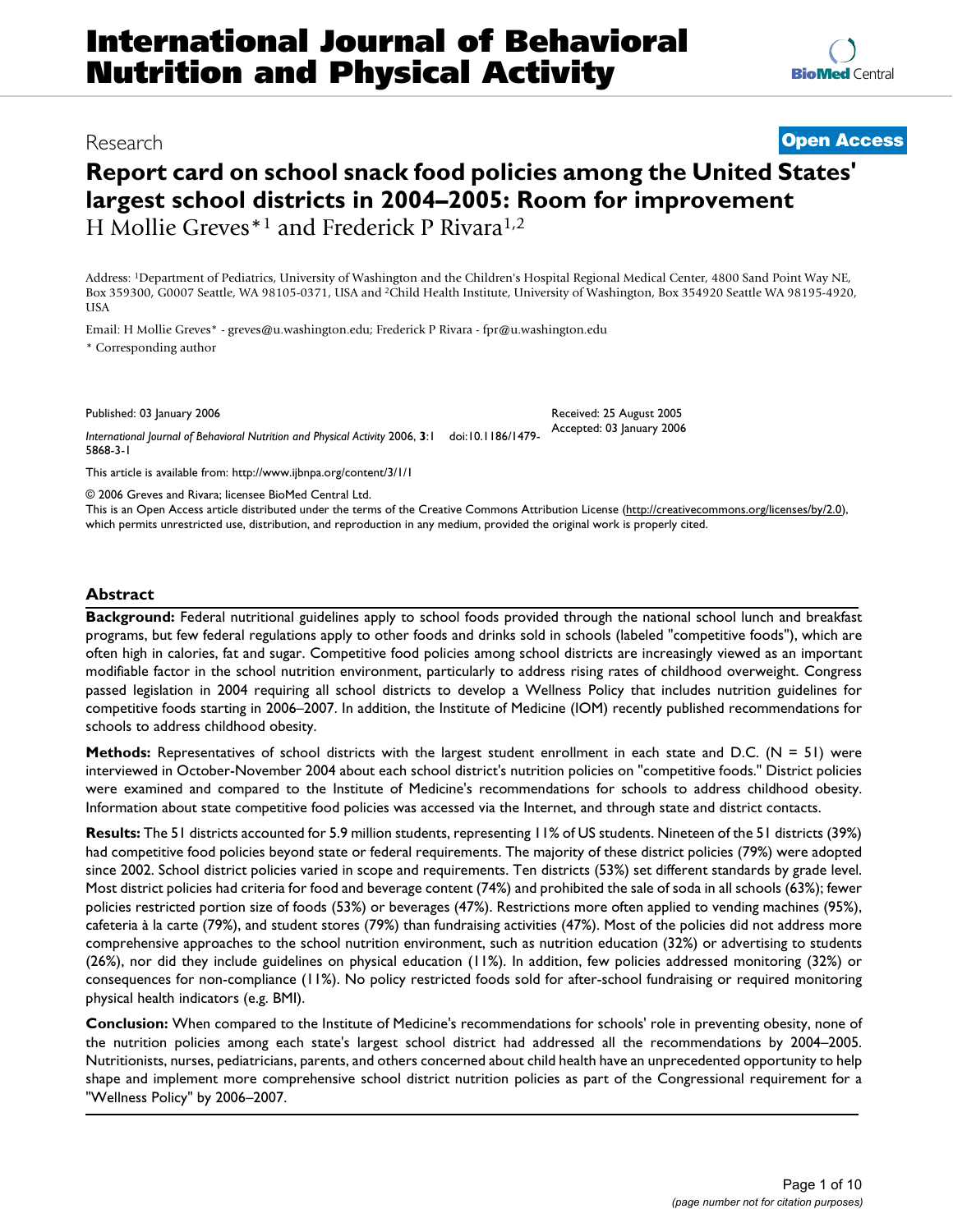## Research **[Open Access](http://www.biomedcentral.com/info/about/charter/)**

# **Report card on school snack food policies among the United States' largest school districts in 2004–2005: Room for improvement** H Mollie Greves\*1 and Frederick P Rivara1,2

Address: 1Department of Pediatrics, University of Washington and the Children's Hospital Regional Medical Center, 4800 Sand Point Way NE, Box 359300, G0007 Seattle, WA 98105-0371, USA and 2Child Health Institute, University of Washington, Box 354920 Seattle WA 98195-4920, USA

Received: 25 August 2005

Email: H Mollie Greves\* - greves@u.washington.edu; Frederick P Rivara - fpr@u.washington.edu

\* Corresponding author

Published: 03 January 2006

*International Journal of Behavioral Nutrition and Physical Activity* 2006, **3**:1 doi:10.1186/1479- 5868-3-1 Accepted: 03 January 2006

[This article is available from: http://www.ijbnpa.org/content/3/1/1](http://www.ijbnpa.org/content/3/1/1)

© 2006 Greves and Rivara; licensee BioMed Central Ltd.

This is an Open Access article distributed under the terms of the Creative Commons Attribution License [\(http://creativecommons.org/licenses/by/2.0\)](http://creativecommons.org/licenses/by/2.0), which permits unrestricted use, distribution, and reproduction in any medium, provided the original work is properly cited.

#### **Abstract**

**Background:** Federal nutritional guidelines apply to school foods provided through the national school lunch and breakfast programs, but few federal regulations apply to other foods and drinks sold in schools (labeled "competitive foods"), which are often high in calories, fat and sugar. Competitive food policies among school districts are increasingly viewed as an important modifiable factor in the school nutrition environment, particularly to address rising rates of childhood overweight. Congress passed legislation in 2004 requiring all school districts to develop a Wellness Policy that includes nutrition guidelines for competitive foods starting in 2006–2007. In addition, the Institute of Medicine (IOM) recently published recommendations for schools to address childhood obesity.

**Methods:** Representatives of school districts with the largest student enrollment in each state and D.C. (N = 51) were interviewed in October-November 2004 about each school district's nutrition policies on "competitive foods." District policies were examined and compared to the Institute of Medicine's recommendations for schools to address childhood obesity. Information about state competitive food policies was accessed via the Internet, and through state and district contacts.

**Results:** The 51 districts accounted for 5.9 million students, representing 11% of US students. Nineteen of the 51 districts (39%) had competitive food policies beyond state or federal requirements. The majority of these district policies (79%) were adopted since 2002. School district policies varied in scope and requirements. Ten districts (53%) set different standards by grade level. Most district policies had criteria for food and beverage content (74%) and prohibited the sale of soda in all schools (63%); fewer policies restricted portion size of foods (53%) or beverages (47%). Restrictions more often applied to vending machines (95%), cafeteria à la carte (79%), and student stores (79%) than fundraising activities (47%). Most of the policies did not address more comprehensive approaches to the school nutrition environment, such as nutrition education (32%) or advertising to students (26%), nor did they include guidelines on physical education (11%). In addition, few policies addressed monitoring (32%) or consequences for non-compliance (11%). No policy restricted foods sold for after-school fundraising or required monitoring physical health indicators (e.g. BMI).

**Conclusion:** When compared to the Institute of Medicine's recommendations for schools' role in preventing obesity, none of the nutrition policies among each state's largest school district had addressed all the recommendations by 2004–2005. Nutritionists, nurses, pediatricians, parents, and others concerned about child health have an unprecedented opportunity to help shape and implement more comprehensive school district nutrition policies as part of the Congressional requirement for a "Wellness Policy" by 2006–2007.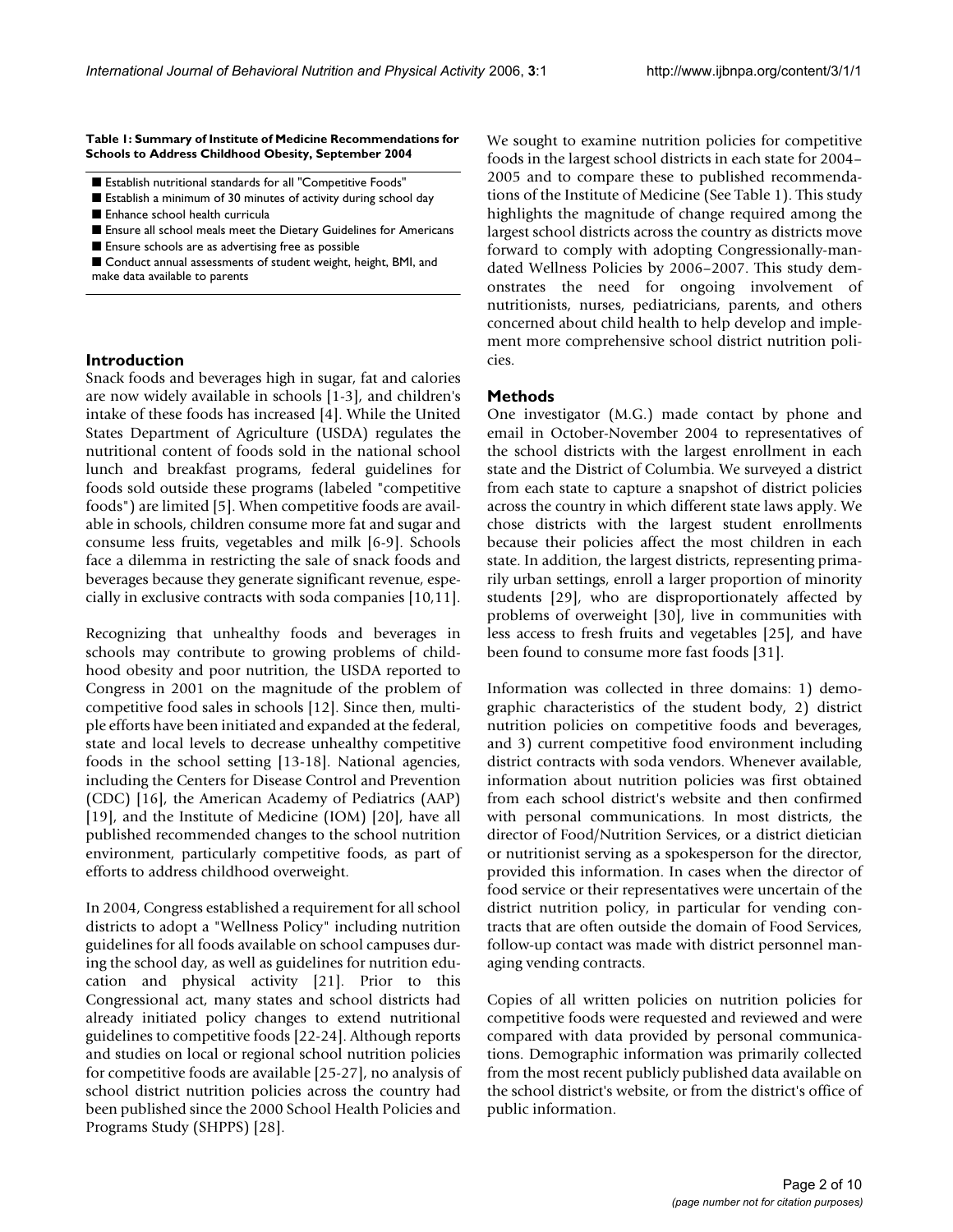**Table 1: Summary of Institute of Medicine Recommendations for Schools to Address Childhood Obesity, September 2004**

- Establish nutritional standards for all "Competitive Foods"
- Establish a minimum of 30 minutes of activity during school day
- Enhance school health curricula
- Ensure all school meals meet the Dietary Guidelines for Americans ■ Ensure schools are as advertising free as possible
- 
- Conduct annual assessments of student weight, height, BMI, and make data available to parents

#### **Introduction**

Snack foods and beverages high in sugar, fat and calories are now widely available in schools [1-3], and children's intake of these foods has increased [4]. While the United States Department of Agriculture (USDA) regulates the nutritional content of foods sold in the national school lunch and breakfast programs, federal guidelines for foods sold outside these programs (labeled "competitive foods") are limited [5]. When competitive foods are available in schools, children consume more fat and sugar and consume less fruits, vegetables and milk [6-9]. Schools face a dilemma in restricting the sale of snack foods and beverages because they generate significant revenue, especially in exclusive contracts with soda companies [10,11].

Recognizing that unhealthy foods and beverages in schools may contribute to growing problems of childhood obesity and poor nutrition, the USDA reported to Congress in 2001 on the magnitude of the problem of competitive food sales in schools [12]. Since then, multiple efforts have been initiated and expanded at the federal, state and local levels to decrease unhealthy competitive foods in the school setting [13-18]. National agencies, including the Centers for Disease Control and Prevention (CDC) [16], the American Academy of Pediatrics (AAP) [19], and the Institute of Medicine (IOM) [20], have all published recommended changes to the school nutrition environment, particularly competitive foods, as part of efforts to address childhood overweight.

In 2004, Congress established a requirement for all school districts to adopt a "Wellness Policy" including nutrition guidelines for all foods available on school campuses during the school day, as well as guidelines for nutrition education and physical activity [21]. Prior to this Congressional act, many states and school districts had already initiated policy changes to extend nutritional guidelines to competitive foods [22-24]. Although reports and studies on local or regional school nutrition policies for competitive foods are available [25-27], no analysis of school district nutrition policies across the country had been published since the 2000 School Health Policies and Programs Study (SHPPS) [28].

We sought to examine nutrition policies for competitive foods in the largest school districts in each state for 2004– 2005 and to compare these to published recommendations of the Institute of Medicine (See Table 1). This study highlights the magnitude of change required among the largest school districts across the country as districts move forward to comply with adopting Congressionally-mandated Wellness Policies by 2006–2007. This study demonstrates the need for ongoing involvement of nutritionists, nurses, pediatricians, parents, and others concerned about child health to help develop and implement more comprehensive school district nutrition policies.

#### **Methods**

One investigator (M.G.) made contact by phone and email in October-November 2004 to representatives of the school districts with the largest enrollment in each state and the District of Columbia. We surveyed a district from each state to capture a snapshot of district policies across the country in which different state laws apply. We chose districts with the largest student enrollments because their policies affect the most children in each state. In addition, the largest districts, representing primarily urban settings, enroll a larger proportion of minority students [29], who are disproportionately affected by problems of overweight [30], live in communities with less access to fresh fruits and vegetables [25], and have been found to consume more fast foods [31].

Information was collected in three domains: 1) demographic characteristics of the student body, 2) district nutrition policies on competitive foods and beverages, and 3) current competitive food environment including district contracts with soda vendors. Whenever available, information about nutrition policies was first obtained from each school district's website and then confirmed with personal communications. In most districts, the director of Food/Nutrition Services, or a district dietician or nutritionist serving as a spokesperson for the director, provided this information. In cases when the director of food service or their representatives were uncertain of the district nutrition policy, in particular for vending contracts that are often outside the domain of Food Services, follow-up contact was made with district personnel managing vending contracts.

Copies of all written policies on nutrition policies for competitive foods were requested and reviewed and were compared with data provided by personal communications. Demographic information was primarily collected from the most recent publicly published data available on the school district's website, or from the district's office of public information.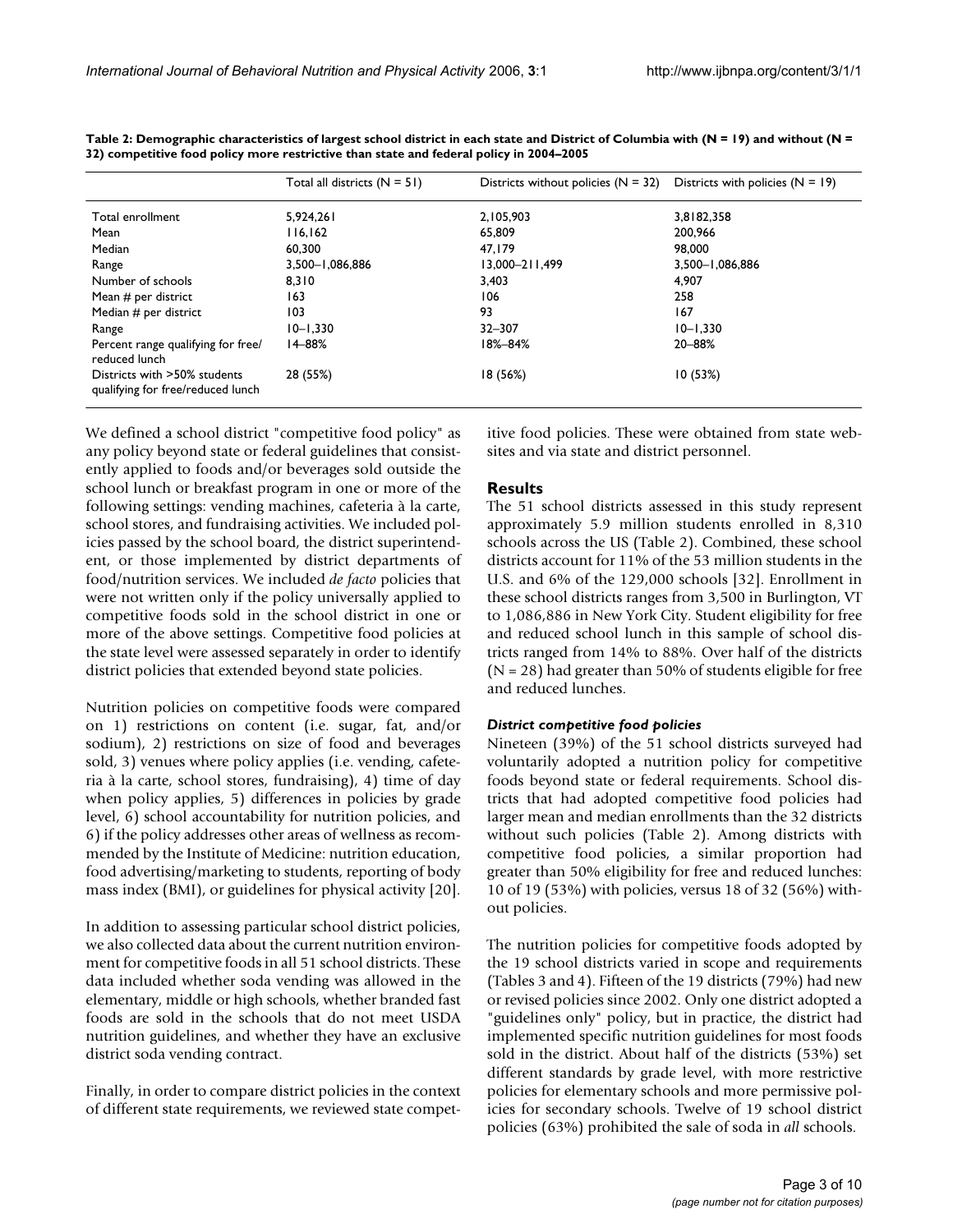|                                                                   | Total all districts $(N = 51)$ | Districts without policies $(N = 32)$ | Districts with policies $(N = 19)$ |
|-------------------------------------------------------------------|--------------------------------|---------------------------------------|------------------------------------|
| Total enrollment                                                  | 5,924,261                      | 2,105,903                             | 3,8182,358                         |
| Mean                                                              | 116.162                        | 65,809                                | 200,966                            |
| Median                                                            | 60,300                         | 47.179                                | 98,000                             |
| Range                                                             | 3,500-1,086,886                | 13.000-211.499                        | 3,500-1,086,886                    |
| Number of schools                                                 | 8.310                          | 3,403                                 | 4.907                              |
| Mean $#$ per district                                             | 163                            | 106                                   | 258                                |
| Median $#$ per district                                           | 103                            | 93                                    | 167                                |
| Range                                                             | $10 - 1.330$                   | $32 - 307$                            | $10 - 1.330$                       |
| Percent range qualifying for free/<br>reduced lunch               | 14-88%                         | 18%-84%                               | 20-88%                             |
| Districts with >50% students<br>qualifying for free/reduced lunch | 28 (55%)                       | 18 (56%)                              | 10(53%)                            |

Table 2: Demographic characteristics of largest school district in each state and District of Columbia with (N = 19) and without (N = **32) competitive food policy more restrictive than state and federal policy in 2004–2005**

We defined a school district "competitive food policy" as any policy beyond state or federal guidelines that consistently applied to foods and/or beverages sold outside the school lunch or breakfast program in one or more of the following settings: vending machines, cafeteria à la carte, school stores, and fundraising activities. We included policies passed by the school board, the district superintendent, or those implemented by district departments of food/nutrition services. We included *de facto* policies that were not written only if the policy universally applied to competitive foods sold in the school district in one or more of the above settings. Competitive food policies at the state level were assessed separately in order to identify district policies that extended beyond state policies.

Nutrition policies on competitive foods were compared on 1) restrictions on content (i.e. sugar, fat, and/or sodium), 2) restrictions on size of food and beverages sold, 3) venues where policy applies (i.e. vending, cafeteria à la carte, school stores, fundraising), 4) time of day when policy applies, 5) differences in policies by grade level, 6) school accountability for nutrition policies, and 6) if the policy addresses other areas of wellness as recommended by the Institute of Medicine: nutrition education, food advertising/marketing to students, reporting of body mass index (BMI), or guidelines for physical activity [20].

In addition to assessing particular school district policies, we also collected data about the current nutrition environment for competitive foods in all 51 school districts. These data included whether soda vending was allowed in the elementary, middle or high schools, whether branded fast foods are sold in the schools that do not meet USDA nutrition guidelines, and whether they have an exclusive district soda vending contract.

Finally, in order to compare district policies in the context of different state requirements, we reviewed state competitive food policies. These were obtained from state websites and via state and district personnel.

## **Results**

The 51 school districts assessed in this study represent approximately 5.9 million students enrolled in 8,310 schools across the US (Table 2). Combined, these school districts account for 11% of the 53 million students in the U.S. and 6% of the 129,000 schools [32]. Enrollment in these school districts ranges from 3,500 in Burlington, VT to 1,086,886 in New York City. Student eligibility for free and reduced school lunch in this sample of school districts ranged from 14% to 88%. Over half of the districts  $(N = 28)$  had greater than 50% of students eligible for free and reduced lunches.

## *District competitive food policies*

Nineteen (39%) of the 51 school districts surveyed had voluntarily adopted a nutrition policy for competitive foods beyond state or federal requirements. School districts that had adopted competitive food policies had larger mean and median enrollments than the 32 districts without such policies (Table 2). Among districts with competitive food policies, a similar proportion had greater than 50% eligibility for free and reduced lunches: 10 of 19 (53%) with policies, versus 18 of 32 (56%) without policies.

The nutrition policies for competitive foods adopted by the 19 school districts varied in scope and requirements (Tables 3 and 4). Fifteen of the 19 districts (79%) had new or revised policies since 2002. Only one district adopted a "guidelines only" policy, but in practice, the district had implemented specific nutrition guidelines for most foods sold in the district. About half of the districts (53%) set different standards by grade level, with more restrictive policies for elementary schools and more permissive policies for secondary schools. Twelve of 19 school district policies (63%) prohibited the sale of soda in *all* schools.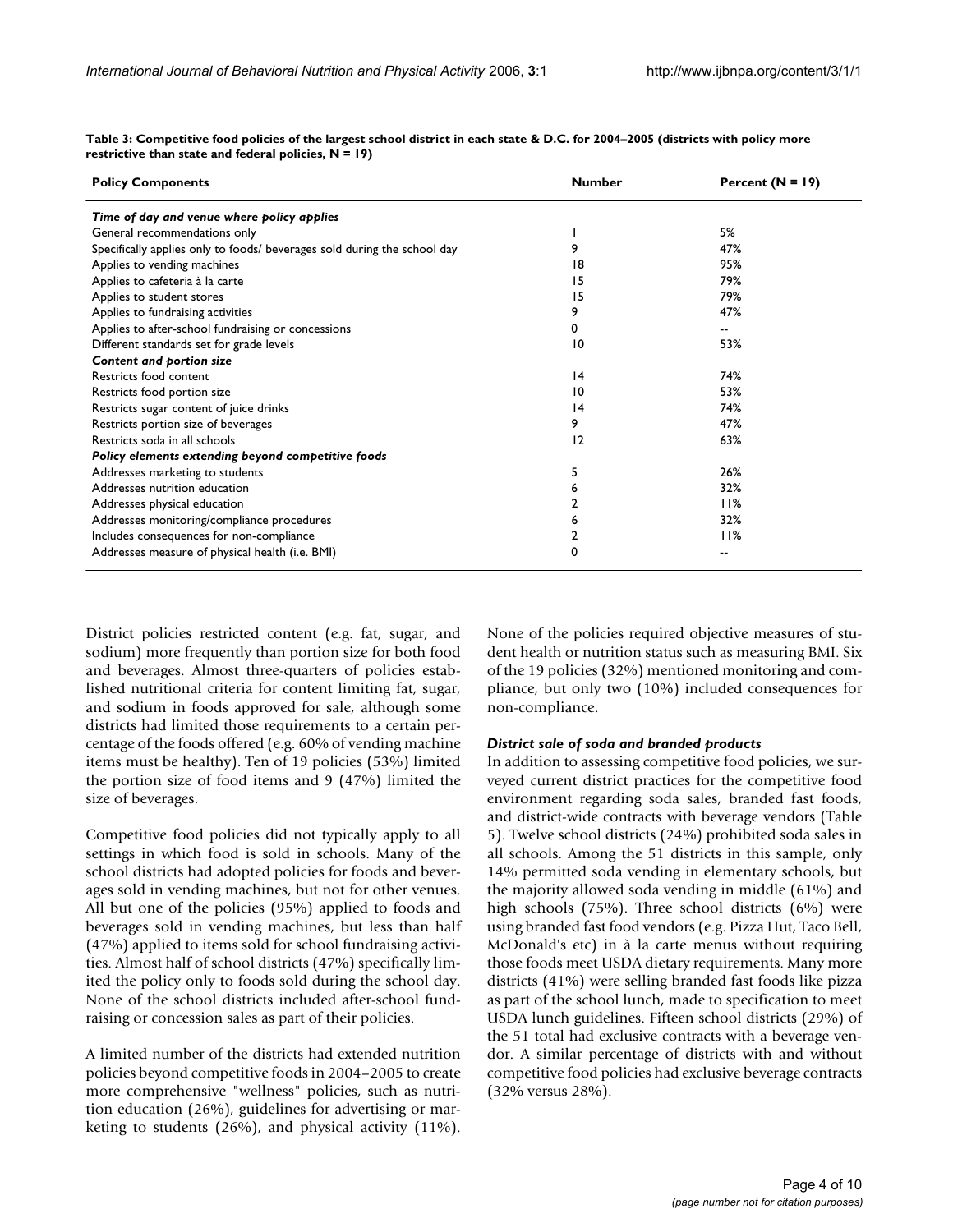| <b>Policy Components</b>                                                 | <b>Number</b> | Percent $(N = 19)$ |
|--------------------------------------------------------------------------|---------------|--------------------|
| Time of day and venue where policy applies                               |               |                    |
| General recommendations only                                             |               | 5%                 |
| Specifically applies only to foods/ beverages sold during the school day | 9             | 47%                |
| Applies to vending machines                                              | 18            | 95%                |
| Applies to cafeteria à la carte                                          | 15            | 79%                |
| Applies to student stores                                                | 15            | 79%                |
| Applies to fundraising activities                                        | 9             | 47%                |
| Applies to after-school fundraising or concessions                       | 0             | --                 |
| Different standards set for grade levels                                 | 10            | 53%                |
| Content and portion size                                                 |               |                    |
| Restricts food content                                                   | 4             | 74%                |
| Restricts food portion size                                              | 10            | 53%                |
| Restricts sugar content of juice drinks                                  | 4             | 74%                |
| Restricts portion size of beverages                                      | 9             | 47%                |
| Restricts soda in all schools                                            | 12            | 63%                |
| Policy elements extending beyond competitive foods                       |               |                    |
| Addresses marketing to students                                          | 5             | 26%                |
| Addresses nutrition education                                            | 6             | 32%                |
| Addresses physical education                                             | 2             | 11%                |
| Addresses monitoring/compliance procedures                               | 6             | 32%                |
| Includes consequences for non-compliance                                 |               | 11%                |
| Addresses measure of physical health (i.e. BMI)                          | 0             |                    |

**Table 3: Competitive food policies of the largest school district in each state & D.C. for 2004–2005 (districts with policy more restrictive than state and federal policies, N = 19)**

District policies restricted content (e.g. fat, sugar, and sodium) more frequently than portion size for both food and beverages. Almost three-quarters of policies established nutritional criteria for content limiting fat, sugar, and sodium in foods approved for sale, although some districts had limited those requirements to a certain percentage of the foods offered (e.g. 60% of vending machine items must be healthy). Ten of 19 policies (53%) limited the portion size of food items and 9 (47%) limited the size of beverages.

Competitive food policies did not typically apply to all settings in which food is sold in schools. Many of the school districts had adopted policies for foods and beverages sold in vending machines, but not for other venues. All but one of the policies (95%) applied to foods and beverages sold in vending machines, but less than half (47%) applied to items sold for school fundraising activities. Almost half of school districts (47%) specifically limited the policy only to foods sold during the school day. None of the school districts included after-school fundraising or concession sales as part of their policies.

A limited number of the districts had extended nutrition policies beyond competitive foods in 2004–2005 to create more comprehensive "wellness" policies, such as nutrition education (26%), guidelines for advertising or marketing to students (26%), and physical activity (11%). None of the policies required objective measures of student health or nutrition status such as measuring BMI. Six of the 19 policies (32%) mentioned monitoring and compliance, but only two (10%) included consequences for non-compliance.

#### *District sale of soda and branded products*

In addition to assessing competitive food policies, we surveyed current district practices for the competitive food environment regarding soda sales, branded fast foods, and district-wide contracts with beverage vendors (Table 5). Twelve school districts (24%) prohibited soda sales in all schools. Among the 51 districts in this sample, only 14% permitted soda vending in elementary schools, but the majority allowed soda vending in middle (61%) and high schools (75%). Three school districts (6%) were using branded fast food vendors (e.g. Pizza Hut, Taco Bell, McDonald's etc) in à la carte menus without requiring those foods meet USDA dietary requirements. Many more districts (41%) were selling branded fast foods like pizza as part of the school lunch, made to specification to meet USDA lunch guidelines. Fifteen school districts (29%) of the 51 total had exclusive contracts with a beverage vendor. A similar percentage of districts with and without competitive food policies had exclusive beverage contracts (32% versus 28%).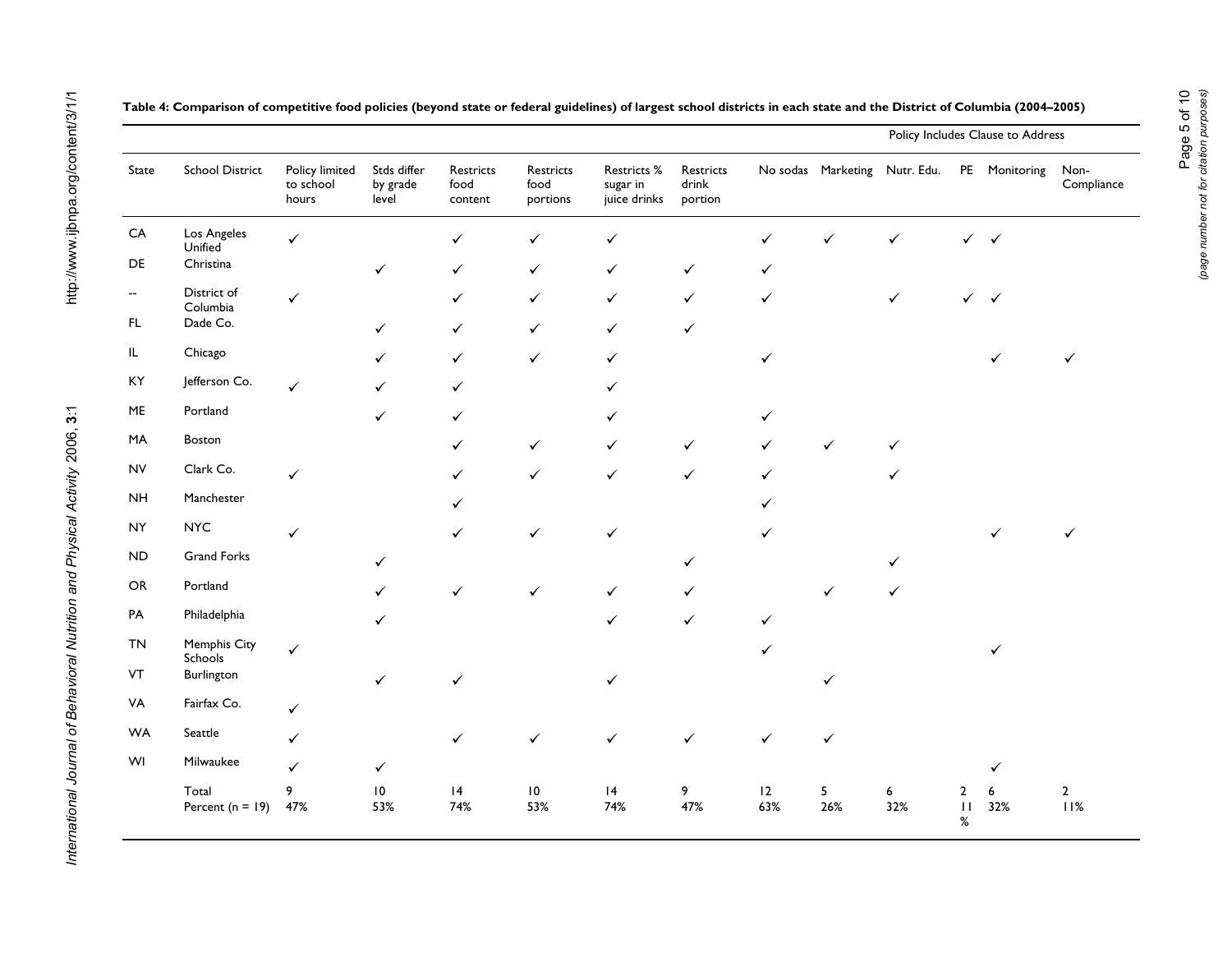|                                               |                               |                                      |                                  |                              |                               |                                         |                               |              |          |                               |                                              | Policy Includes Clause to Address |                     |
|-----------------------------------------------|-------------------------------|--------------------------------------|----------------------------------|------------------------------|-------------------------------|-----------------------------------------|-------------------------------|--------------|----------|-------------------------------|----------------------------------------------|-----------------------------------|---------------------|
| State                                         | <b>School District</b>        | Policy limited<br>to school<br>hours | Stds differ<br>by grade<br>level | Restricts<br>food<br>content | Restricts<br>food<br>portions | Restricts %<br>sugar in<br>juice drinks | Restricts<br>drink<br>portion |              |          | No sodas Marketing Nutr. Edu. |                                              | PE Monitoring                     | Non-<br>Compliance  |
| CA                                            | Los Angeles<br>Unified        | ✓                                    |                                  | ✓                            | $\checkmark$                  | ✓                                       |                               |              |          |                               |                                              | $\checkmark$                      |                     |
| $\mathsf{D}\mathsf{E}$                        | Christina                     |                                      | ✓                                | ✓                            | $\checkmark$                  | $\checkmark$                            | ✓                             | ✓            |          |                               |                                              |                                   |                     |
| $\mathord{\hspace{1pt}\text{--}\hspace{1pt}}$ | District of<br>Columbia       | ✓                                    |                                  | $\checkmark$                 | $\checkmark$                  | $\checkmark$                            | $\checkmark$                  | $\checkmark$ |          | ✓                             | ✓                                            | $\checkmark$                      |                     |
| FL.                                           | Dade Co.                      |                                      | ✓                                | $\checkmark$                 | $\checkmark$                  | ✓                                       | ✓                             |              |          |                               |                                              |                                   |                     |
| IL.                                           | Chicago                       |                                      | ✓                                | $\checkmark$                 | $\checkmark$                  | ✓                                       |                               | ✓            |          |                               |                                              |                                   |                     |
| KY                                            | Jefferson Co.                 | ✓                                    | ✓                                | $\checkmark$                 |                               | ✓                                       |                               |              |          |                               |                                              |                                   |                     |
| ME                                            | Portland                      |                                      | ✓                                | $\checkmark$                 |                               | ✓                                       |                               |              |          |                               |                                              |                                   |                     |
| MA                                            | Boston                        |                                      |                                  | ✓                            | $\checkmark$                  | ✓                                       | ✓                             |              | ✓        |                               |                                              |                                   |                     |
| ${\sf NV}$                                    | Clark Co.                     | ✓                                    |                                  | ✓                            | $\checkmark$                  | $\checkmark$                            | $\checkmark$                  |              |          | ✓                             |                                              |                                   |                     |
| <b>NH</b>                                     | Manchester                    |                                      |                                  |                              |                               |                                         |                               |              |          |                               |                                              |                                   |                     |
| <b>NY</b>                                     | <b>NYC</b>                    | ✓                                    |                                  | $\checkmark$                 | ✓                             | ✓                                       |                               |              |          |                               |                                              |                                   |                     |
| <b>ND</b>                                     | <b>Grand Forks</b>            |                                      | ✓                                |                              |                               |                                         | ✓                             |              |          |                               |                                              |                                   |                     |
| <b>OR</b>                                     | Portland                      |                                      | ✓                                | $\checkmark$                 | ✓                             | ✓                                       | ✓                             |              | ✓        | ✓                             |                                              |                                   |                     |
| PA                                            | Philadelphia                  |                                      | ✓                                |                              |                               | ✓                                       | ✓                             |              |          |                               |                                              |                                   |                     |
| <b>TN</b>                                     | Memphis City<br>Schools       | $\checkmark$                         |                                  |                              |                               |                                         |                               |              |          |                               |                                              |                                   |                     |
| VT                                            | Burlington                    |                                      | ✓                                | ✓                            |                               | ✓                                       |                               |              | ✓        |                               |                                              |                                   |                     |
| VA                                            | Fairfax Co.                   | ✓                                    |                                  |                              |                               |                                         |                               |              |          |                               |                                              |                                   |                     |
| <b>WA</b>                                     | Seattle                       | ✓                                    |                                  | ✓                            | ✓                             | ✓                                       | ✓                             | ✓            | ✓        |                               |                                              |                                   |                     |
| WI                                            | Milwaukee                     | ✓                                    | ✓                                |                              |                               |                                         |                               |              |          |                               |                                              | ✓                                 |                     |
|                                               | Total<br>Percent ( $n = 19$ ) | 9<br>47%                             | $\,$ l $\,$<br>53%               | 4<br>74%                     | $\,$ l $\,$<br>53%            | 4<br>74%                                | 9<br>47%                      | 12<br>63%    | 5<br>26% | 6<br>32%                      | $\overline{\mathbf{c}}$<br>$\mathbf{H}$<br>% | 6<br>32%                          | $\mathbf{2}$<br>11% |

**Table 4: Comparison of competitive food policies (beyond state or federal guidelines) of largest school districts in each state and the District of Columbia (2004–2005)**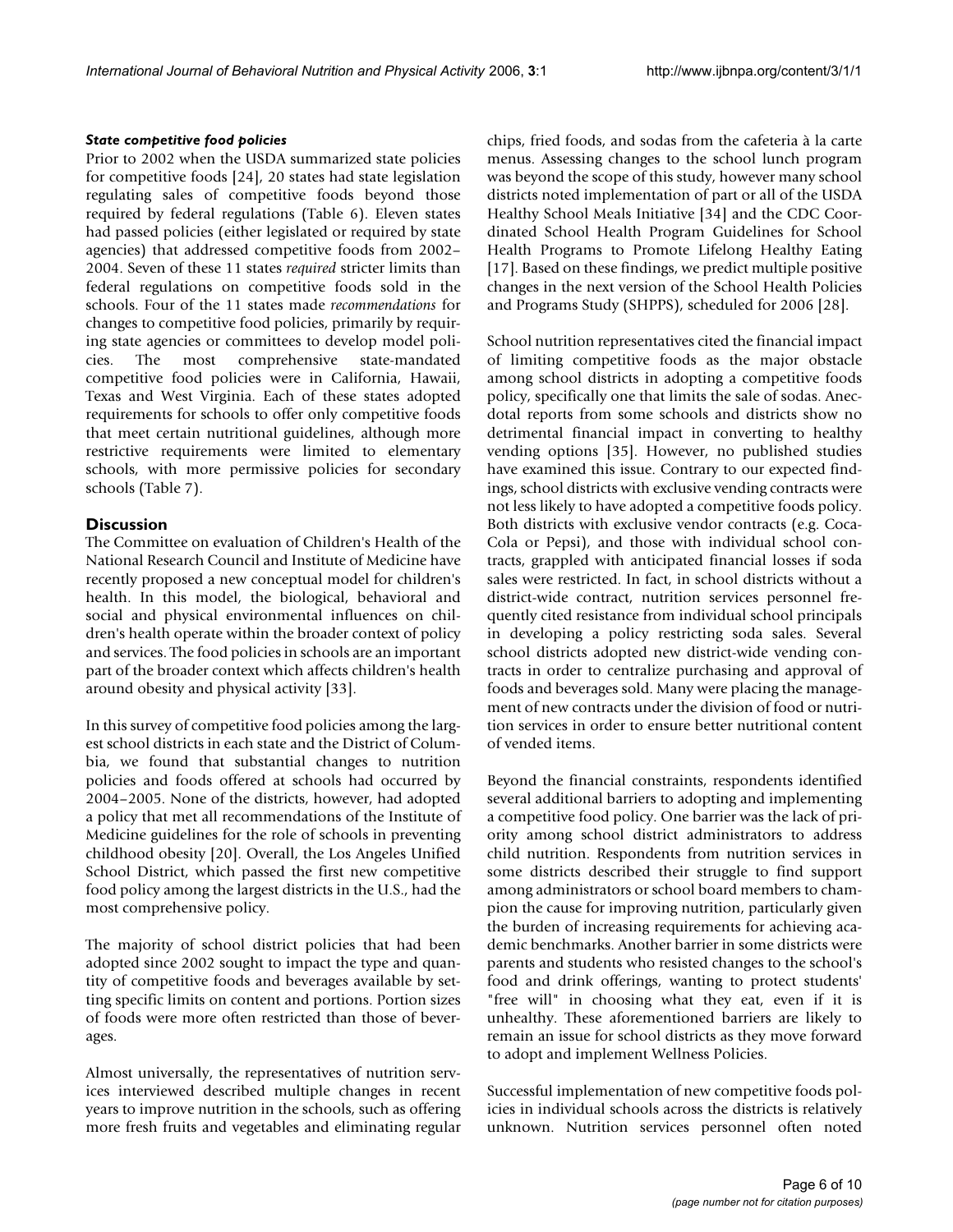#### *State competitive food policies*

Prior to 2002 when the USDA summarized state policies for competitive foods [24], 20 states had state legislation regulating sales of competitive foods beyond those required by federal regulations (Table 6). Eleven states had passed policies (either legislated or required by state agencies) that addressed competitive foods from 2002– 2004. Seven of these 11 states *required* stricter limits than federal regulations on competitive foods sold in the schools. Four of the 11 states made *recommendations* for changes to competitive food policies, primarily by requiring state agencies or committees to develop model policies. The most comprehensive state-mandated competitive food policies were in California, Hawaii, Texas and West Virginia. Each of these states adopted requirements for schools to offer only competitive foods that meet certain nutritional guidelines, although more restrictive requirements were limited to elementary schools, with more permissive policies for secondary schools (Table 7).

## **Discussion**

The Committee on evaluation of Children's Health of the National Research Council and Institute of Medicine have recently proposed a new conceptual model for children's health. In this model, the biological, behavioral and social and physical environmental influences on children's health operate within the broader context of policy and services. The food policies in schools are an important part of the broader context which affects children's health around obesity and physical activity [33].

In this survey of competitive food policies among the largest school districts in each state and the District of Columbia, we found that substantial changes to nutrition policies and foods offered at schools had occurred by 2004–2005. None of the districts, however, had adopted a policy that met all recommendations of the Institute of Medicine guidelines for the role of schools in preventing childhood obesity [20]. Overall, the Los Angeles Unified School District, which passed the first new competitive food policy among the largest districts in the U.S., had the most comprehensive policy.

The majority of school district policies that had been adopted since 2002 sought to impact the type and quantity of competitive foods and beverages available by setting specific limits on content and portions. Portion sizes of foods were more often restricted than those of beverages.

Almost universally, the representatives of nutrition services interviewed described multiple changes in recent years to improve nutrition in the schools, such as offering more fresh fruits and vegetables and eliminating regular chips, fried foods, and sodas from the cafeteria à la carte menus. Assessing changes to the school lunch program was beyond the scope of this study, however many school districts noted implementation of part or all of the USDA Healthy School Meals Initiative [34] and the CDC Coordinated School Health Program Guidelines for School Health Programs to Promote Lifelong Healthy Eating [17]. Based on these findings, we predict multiple positive changes in the next version of the School Health Policies and Programs Study (SHPPS), scheduled for 2006 [28].

School nutrition representatives cited the financial impact of limiting competitive foods as the major obstacle among school districts in adopting a competitive foods policy, specifically one that limits the sale of sodas. Anecdotal reports from some schools and districts show no detrimental financial impact in converting to healthy vending options [35]. However, no published studies have examined this issue. Contrary to our expected findings, school districts with exclusive vending contracts were not less likely to have adopted a competitive foods policy. Both districts with exclusive vendor contracts (e.g. Coca-Cola or Pepsi), and those with individual school contracts, grappled with anticipated financial losses if soda sales were restricted. In fact, in school districts without a district-wide contract, nutrition services personnel frequently cited resistance from individual school principals in developing a policy restricting soda sales. Several school districts adopted new district-wide vending contracts in order to centralize purchasing and approval of foods and beverages sold. Many were placing the management of new contracts under the division of food or nutrition services in order to ensure better nutritional content of vended items.

Beyond the financial constraints, respondents identified several additional barriers to adopting and implementing a competitive food policy. One barrier was the lack of priority among school district administrators to address child nutrition. Respondents from nutrition services in some districts described their struggle to find support among administrators or school board members to champion the cause for improving nutrition, particularly given the burden of increasing requirements for achieving academic benchmarks. Another barrier in some districts were parents and students who resisted changes to the school's food and drink offerings, wanting to protect students' "free will" in choosing what they eat, even if it is unhealthy. These aforementioned barriers are likely to remain an issue for school districts as they move forward to adopt and implement Wellness Policies.

Successful implementation of new competitive foods policies in individual schools across the districts is relatively unknown. Nutrition services personnel often noted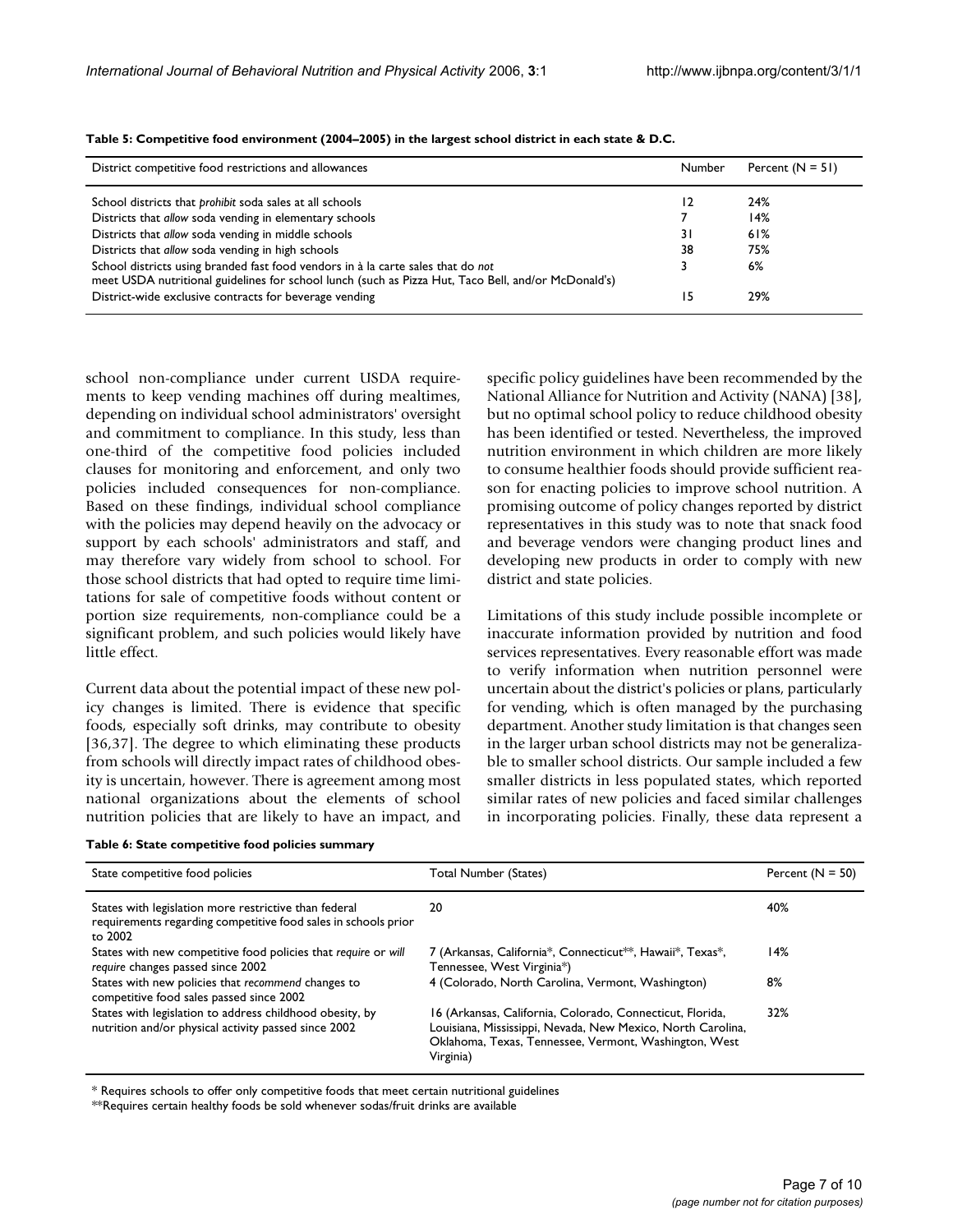| District competitive food restrictions and allowances                                                                                                                                   | Number | Percent $(N = 51)$ |
|-----------------------------------------------------------------------------------------------------------------------------------------------------------------------------------------|--------|--------------------|
| School districts that prohibit soda sales at all schools                                                                                                                                | 12     | 24%                |
| Districts that allow soda vending in elementary schools                                                                                                                                 |        | 14%                |
| Districts that allow soda vending in middle schools                                                                                                                                     | 31     | 61%                |
| Districts that allow soda vending in high schools                                                                                                                                       | 38     | 75%                |
| School districts using branded fast food vendors in à la carte sales that do not<br>meet USDA nutritional guidelines for school lunch (such as Pizza Hut, Taco Bell, and/or McDonald's) | 3      | 6%                 |
| District-wide exclusive contracts for beverage vending                                                                                                                                  | 15     | 29%                |

**Table 5: Competitive food environment (2004–2005) in the largest school district in each state & D.C.**

school non-compliance under current USDA requirements to keep vending machines off during mealtimes, depending on individual school administrators' oversight and commitment to compliance. In this study, less than one-third of the competitive food policies included clauses for monitoring and enforcement, and only two policies included consequences for non-compliance. Based on these findings, individual school compliance with the policies may depend heavily on the advocacy or support by each schools' administrators and staff, and may therefore vary widely from school to school. For those school districts that had opted to require time limitations for sale of competitive foods without content or portion size requirements, non-compliance could be a significant problem, and such policies would likely have little effect.

Current data about the potential impact of these new policy changes is limited. There is evidence that specific foods, especially soft drinks, may contribute to obesity [36,37]. The degree to which eliminating these products from schools will directly impact rates of childhood obesity is uncertain, however. There is agreement among most national organizations about the elements of school nutrition policies that are likely to have an impact, and specific policy guidelines have been recommended by the National Alliance for Nutrition and Activity (NANA) [38], but no optimal school policy to reduce childhood obesity has been identified or tested. Nevertheless, the improved nutrition environment in which children are more likely to consume healthier foods should provide sufficient reason for enacting policies to improve school nutrition. A promising outcome of policy changes reported by district representatives in this study was to note that snack food and beverage vendors were changing product lines and developing new products in order to comply with new district and state policies.

Limitations of this study include possible incomplete or inaccurate information provided by nutrition and food services representatives. Every reasonable effort was made to verify information when nutrition personnel were uncertain about the district's policies or plans, particularly for vending, which is often managed by the purchasing department. Another study limitation is that changes seen in the larger urban school districts may not be generalizable to smaller school districts. Our sample included a few smaller districts in less populated states, which reported similar rates of new policies and faced similar challenges in incorporating policies. Finally, these data represent a

| Table 6: State competitive food policies summary |  |  |  |
|--------------------------------------------------|--|--|--|
|--------------------------------------------------|--|--|--|

| State competitive food policies                                                                                                    | Total Number (States)                                                                                                                                                                          | Percent $(N = 50)$ |
|------------------------------------------------------------------------------------------------------------------------------------|------------------------------------------------------------------------------------------------------------------------------------------------------------------------------------------------|--------------------|
| States with legislation more restrictive than federal<br>requirements regarding competitive food sales in schools prior<br>to 2002 | 20                                                                                                                                                                                             | 40%                |
| States with new competitive food policies that require or will<br>require changes passed since 2002                                | 7 (Arkansas, California*, Connecticut <sup>**</sup> , Hawaii*, Texas*,<br>Tennessee, West Virginia*)                                                                                           | 14%                |
| States with new policies that recommend changes to<br>competitive food sales passed since 2002                                     | 4 (Colorado, North Carolina, Vermont, Washington)                                                                                                                                              | 8%                 |
| States with legislation to address childhood obesity, by<br>nutrition and/or physical activity passed since 2002                   | 16 (Arkansas, California, Colorado, Connecticut, Florida,<br>Louisiana, Mississippi, Nevada, New Mexico, North Carolina,<br>Oklahoma, Texas, Tennessee, Vermont, Washington, West<br>Virginia) | 32%                |

\* Requires schools to offer only competitive foods that meet certain nutritional guidelines

\*\*Requires certain healthy foods be sold whenever sodas/fruit drinks are available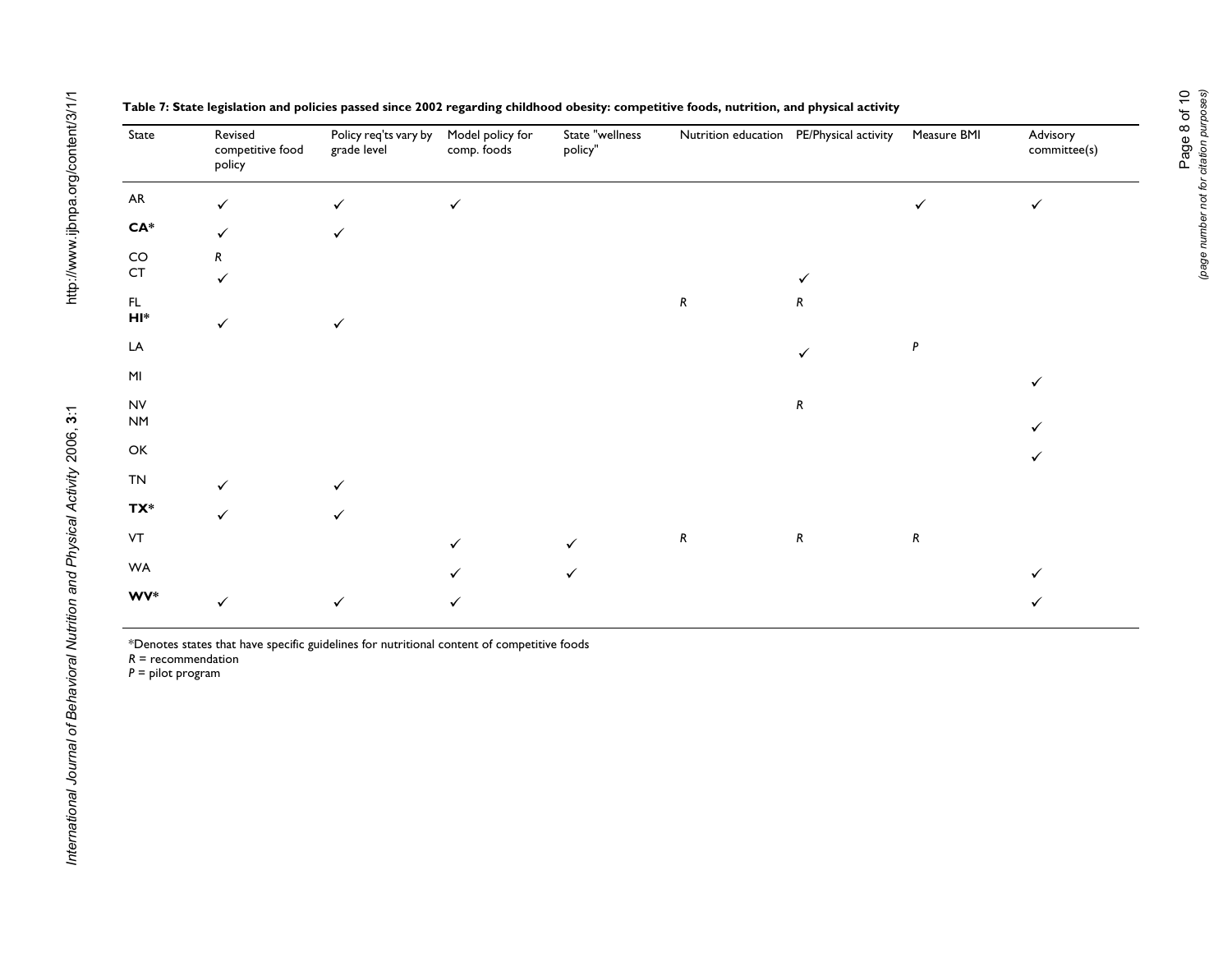| State                                                                                              | Revised<br>competitive food<br>policy | Policy req'ts vary by<br>grade level | Model policy for<br>comp. foods | State "wellness<br>policy" | Nutrition education PE/Physical activity |                  | Measure BMI      | Advisory<br>committee(s) |
|----------------------------------------------------------------------------------------------------|---------------------------------------|--------------------------------------|---------------------------------|----------------------------|------------------------------------------|------------------|------------------|--------------------------|
| ${\sf AR}$                                                                                         | $\checkmark$                          | $\checkmark$                         | $\checkmark$                    |                            |                                          |                  | $\checkmark$     | $\checkmark$             |
| $CA*$                                                                                              | ✓                                     |                                      |                                 |                            |                                          |                  |                  |                          |
| ${\sf CO}$                                                                                         | $\mathsf{R}$                          |                                      |                                 |                            |                                          |                  |                  |                          |
| CT                                                                                                 | $\checkmark$                          |                                      |                                 |                            |                                          |                  |                  |                          |
| FL<br>$H I^*$                                                                                      | $\checkmark$                          |                                      |                                 |                            | R                                        | $\mathsf R$      |                  |                          |
| LA                                                                                                 |                                       |                                      |                                 |                            |                                          |                  | P                |                          |
| MI                                                                                                 |                                       |                                      |                                 |                            |                                          |                  |                  |                          |
| ${\sf NV}$<br>$\mathsf{N}\mathsf{M}$                                                               |                                       |                                      |                                 |                            |                                          | $\boldsymbol{R}$ |                  |                          |
| $\mathsf{OK}% \left( \mathcal{M}\right) \equiv\mathsf{OK}(\mathcal{M}_{\mathrm{CL}}(\mathcal{M}))$ |                                       |                                      |                                 |                            |                                          |                  |                  | ✓                        |
| TN                                                                                                 | $\checkmark$                          |                                      |                                 |                            |                                          |                  |                  |                          |
| TX*                                                                                                |                                       |                                      |                                 |                            |                                          |                  |                  |                          |
| VT                                                                                                 |                                       |                                      | ✓                               | ✓                          | $\boldsymbol{R}$                         | $\boldsymbol{R}$ | $\boldsymbol{R}$ |                          |
| WA                                                                                                 |                                       |                                      |                                 |                            |                                          |                  |                  |                          |
| <b>WV*</b>                                                                                         |                                       |                                      | ✓                               |                            |                                          |                  |                  |                          |

Page 8 of 10

*(page number not for citation purposes)*

Page number not for citation purposes)<br>(page number not for citation purposes)

**Table 7: State legislation and policies passed since 2002 regarding childhood obesity: competitive foods, nutrition, and physical activity**

\*Denotes states that have specific guidelines for nutritional content of competitive foods

*R* = recommendation

*P* = pilot program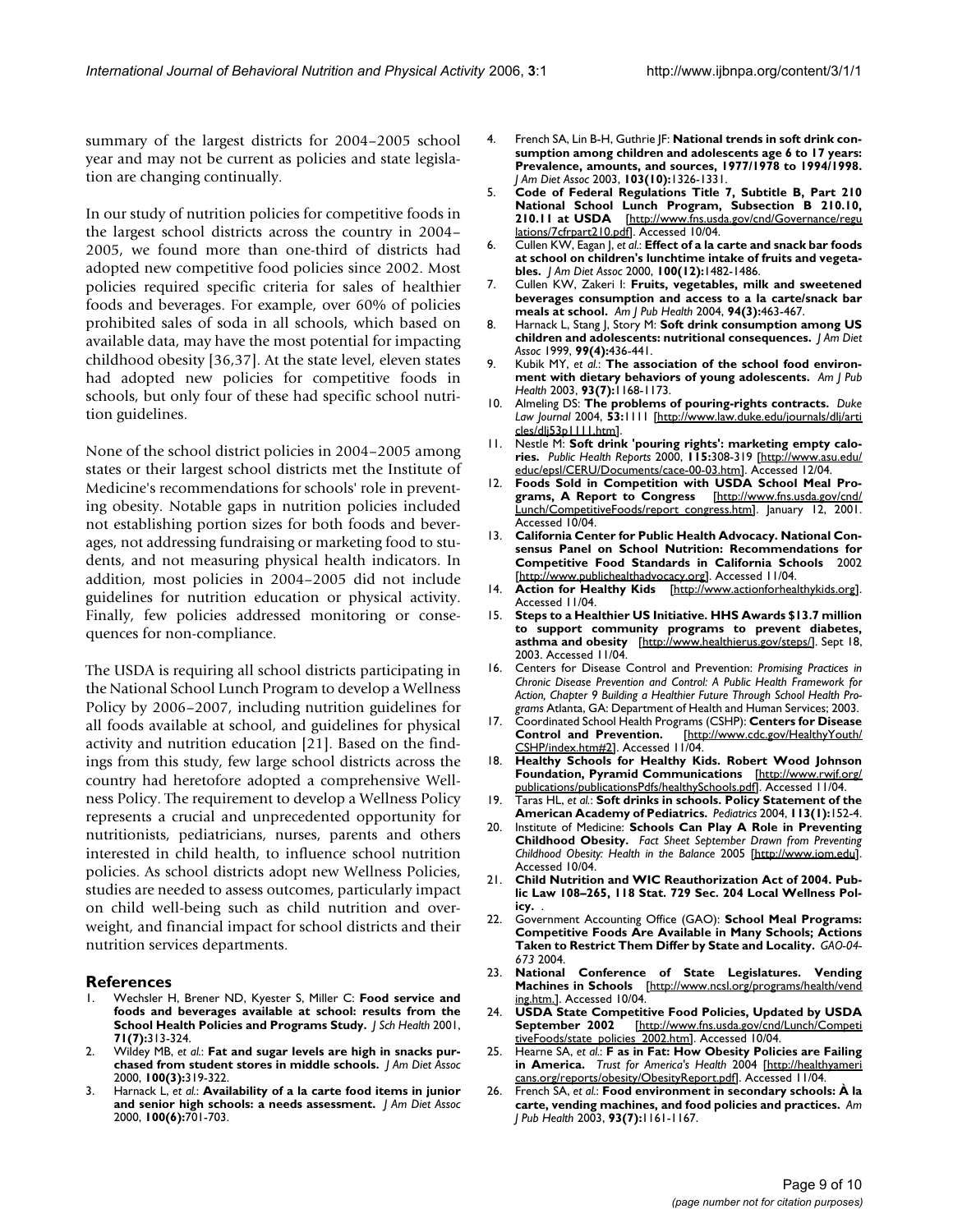summary of the largest districts for 2004–2005 school year and may not be current as policies and state legislation are changing continually.

In our study of nutrition policies for competitive foods in the largest school districts across the country in 2004– 2005, we found more than one-third of districts had adopted new competitive food policies since 2002. Most policies required specific criteria for sales of healthier foods and beverages. For example, over 60% of policies prohibited sales of soda in all schools, which based on available data, may have the most potential for impacting childhood obesity [36,37]. At the state level, eleven states had adopted new policies for competitive foods in schools, but only four of these had specific school nutrition guidelines.

None of the school district policies in 2004–2005 among states or their largest school districts met the Institute of Medicine's recommendations for schools' role in preventing obesity. Notable gaps in nutrition policies included not establishing portion sizes for both foods and beverages, not addressing fundraising or marketing food to students, and not measuring physical health indicators. In addition, most policies in 2004–2005 did not include guidelines for nutrition education or physical activity. Finally, few policies addressed monitoring or consequences for non-compliance.

The USDA is requiring all school districts participating in the National School Lunch Program to develop a Wellness Policy by 2006–2007, including nutrition guidelines for all foods available at school, and guidelines for physical activity and nutrition education [21]. Based on the findings from this study, few large school districts across the country had heretofore adopted a comprehensive Wellness Policy. The requirement to develop a Wellness Policy represents a crucial and unprecedented opportunity for nutritionists, pediatricians, nurses, parents and others interested in child health, to influence school nutrition policies. As school districts adopt new Wellness Policies, studies are needed to assess outcomes, particularly impact on child well-being such as child nutrition and overweight, and financial impact for school districts and their nutrition services departments.

#### **References**

- 1. Wechsler H, Brener ND, Kyester S, Miller C: **[Food service and](http://www.ncbi.nlm.nih.gov/entrez/query.fcgi?cmd=Retrieve&db=PubMed&dopt=Abstract&list_uids=11586874) [foods and beverages available at school: results from the](http://www.ncbi.nlm.nih.gov/entrez/query.fcgi?cmd=Retrieve&db=PubMed&dopt=Abstract&list_uids=11586874) [School Health Policies and Programs Study.](http://www.ncbi.nlm.nih.gov/entrez/query.fcgi?cmd=Retrieve&db=PubMed&dopt=Abstract&list_uids=11586874)** *J Sch Health* 2001, **71(7):**313-324.
- 2. Wildey MB, *et al.*: **[Fat and sugar levels are high in snacks pur](http://www.ncbi.nlm.nih.gov/entrez/query.fcgi?cmd=Retrieve&db=PubMed&dopt=Abstract&list_uids=10719405)[chased from student stores in middle schools.](http://www.ncbi.nlm.nih.gov/entrez/query.fcgi?cmd=Retrieve&db=PubMed&dopt=Abstract&list_uids=10719405)** *J Am Diet Assoc* 2000, **100(3):**319-322.
- 3. Harnack L, *et al.*: **[Availability of a la carte food items in junior](http://www.ncbi.nlm.nih.gov/entrez/query.fcgi?cmd=Retrieve&db=PubMed&dopt=Abstract&list_uids=10863576) [and senior high schools: a needs assessment.](http://www.ncbi.nlm.nih.gov/entrez/query.fcgi?cmd=Retrieve&db=PubMed&dopt=Abstract&list_uids=10863576)** *J Am Diet Assoc* 2000, **100(6):**701-703.
- 4. French SA, Lin B-H, Guthrie JF: **[National trends in soft drink con](http://www.ncbi.nlm.nih.gov/entrez/query.fcgi?cmd=Retrieve&db=PubMed&dopt=Abstract&list_uids=14520252)sumption among children and adolescents age 6 to 17 years: [Prevalence, amounts, and sources, 1977/1978 to 1994/1998.](http://www.ncbi.nlm.nih.gov/entrez/query.fcgi?cmd=Retrieve&db=PubMed&dopt=Abstract&list_uids=14520252)** *J Am Diet Assoc* 2003, **103(10):**1326-1331.
- 5. **Code of Federal Regulations Title 7, Subtitle B, Part 210 National School Lunch Program, Subsection B 210.10, 210.11 at USDA** [[http://www.fns.usda.gov/cnd/Governance/regu](http://www.fns.usda.gov/cnd/Governance/regulations/7cfrpart210.pdf) [lations/7cfrpart210.pdf](http://www.fns.usda.gov/cnd/Governance/regulations/7cfrpart210.pdf)]. Accessed 10/04.
- 6. Cullen KW, Eagan J, *et al.*: **[Effect of a la carte and snack bar foods](http://www.ncbi.nlm.nih.gov/entrez/query.fcgi?cmd=Retrieve&db=PubMed&dopt=Abstract&list_uids=11138440) [at school on children's lunchtime intake of fruits and vegeta](http://www.ncbi.nlm.nih.gov/entrez/query.fcgi?cmd=Retrieve&db=PubMed&dopt=Abstract&list_uids=11138440)[bles.](http://www.ncbi.nlm.nih.gov/entrez/query.fcgi?cmd=Retrieve&db=PubMed&dopt=Abstract&list_uids=11138440)** *J Am Diet Assoc* 2000, **100(12):**1482-1486.
- 7. Cullen KW, Zakeri I: **[Fruits, vegetables, milk and sweetened](http://www.ncbi.nlm.nih.gov/entrez/query.fcgi?cmd=Retrieve&db=PubMed&dopt=Abstract&list_uids=14998815) [beverages consumption and access to a la carte/snack bar](http://www.ncbi.nlm.nih.gov/entrez/query.fcgi?cmd=Retrieve&db=PubMed&dopt=Abstract&list_uids=14998815) [meals at school.](http://www.ncbi.nlm.nih.gov/entrez/query.fcgi?cmd=Retrieve&db=PubMed&dopt=Abstract&list_uids=14998815)** *Am J Pub Health* 2004, **94(3):**463-467.
- 8. Harnack L, Stang J, Story M: **[Soft drink consumption among US](http://www.ncbi.nlm.nih.gov/entrez/query.fcgi?cmd=Retrieve&db=PubMed&dopt=Abstract&list_uids=10207395) [children and adolescents: nutritional consequences.](http://www.ncbi.nlm.nih.gov/entrez/query.fcgi?cmd=Retrieve&db=PubMed&dopt=Abstract&list_uids=10207395)** *J Am Diet Assoc* 1999, **99(4):**436-441.
- 9. Kubik MY, *et al.*: **[The association of the school food environ](http://www.ncbi.nlm.nih.gov/entrez/query.fcgi?cmd=Retrieve&db=PubMed&dopt=Abstract&list_uids=12835204)[ment with dietary behaviors of young adolescents.](http://www.ncbi.nlm.nih.gov/entrez/query.fcgi?cmd=Retrieve&db=PubMed&dopt=Abstract&list_uids=12835204)** *Am J Pub Health* 2003, **93(7):**1168-1173.
- 10. Almeling DS: **The problems of pouring-rights contracts.** *Duke Law Journal* 2004, **53:**1111 [[http://www.law.duke.edu/journals/dlj/arti](http://www.law.duke.edu/journals/dlj/articles/dlj53p1111.htm) [cles/dlj53p1111.htm\]](http://www.law.duke.edu/journals/dlj/articles/dlj53p1111.htm).
- 11. Nestle M: **[Soft drink 'pouring rights': marketing empty calo](http://www.ncbi.nlm.nih.gov/entrez/query.fcgi?cmd=Retrieve&db=PubMed&dopt=Abstract&list_uids=11059423)[ries.](http://www.ncbi.nlm.nih.gov/entrez/query.fcgi?cmd=Retrieve&db=PubMed&dopt=Abstract&list_uids=11059423)** *Public Health Reports* 2000, **115:**308-319 [\[http://www.asu.edu/](http://www.asu.edu/educ/epsl/CERU/Documents/cace-00-03.htm) [educ/epsl/CERU/Documents/cace-00-03.htm\]](http://www.asu.edu/educ/epsl/CERU/Documents/cace-00-03.htm). Accessed 12/04.
- 12. **Foods Sold in Competition with USDA School Meal Programs, A Report to Congress** [[http://www.fns.usda.gov/cnd/](http://www.fns.usda.gov/cnd/Lunch/CompetitiveFoods/report_congress.htm) [Lunch/CompetitiveFoods/report\\_congress.htm](http://www.fns.usda.gov/cnd/Lunch/CompetitiveFoods/report_congress.htm)]. January 12, 2001. Accessed 10/04.
- 13. **California Center for Public Health Advocacy. National Consensus Panel on School Nutrition: Recommendations for Competitive Food Standards in California Schools** 2002 [<http://www.publichealthadvocacy.org>]. Accessed 11/04.
- 14. **Action for Healthy Kids** [\[http://www.actionforhealthykids.org\]](http://www.actionforhealthykids.org). Accessed 11/04.
- 15. **Steps to a Healthier US Initiative. HHS Awards \$13.7 million to support community programs to prevent diabetes, asthma and obesity** [<http://www.healthierus.gov/steps/>]. Sept 18, 2003. Accessed 11/04.
- 16. Centers for Disease Control and Prevention: *Promising Practices in Chronic Disease Prevention and Control: A Public Health Framework for Action, Chapter 9 Building a Healthier Future Through School Health Programs* Atlanta, GA: Department of Health and Human Services; 2003.
- 17. Coordinated School Health Programs (CSHP): **Centers for Disease Control and Prevention.** [[http://www.cdc.gov/HealthyYouth/](http://www.cdc.gov/HealthyYouth/CSHP/index.htm#2) [CSHP/index.htm#2](http://www.cdc.gov/HealthyYouth/CSHP/index.htm#2)]. Accessed 11/04.
- 18. **Healthy Schools for Healthy Kids. Robert Wood Johnson Foundation, Pyramid Communications** [[http://www.rwjf.org/](http://www.rwjf.org/publications/publicationsPdfs/healthySchools.pdf) [publications/publicationsPdfs/healthySchools.pdf](http://www.rwjf.org/publications/publicationsPdfs/healthySchools.pdf)]. Accessed 11/04.
- 19. Taras HL, *et al.*: **[Soft drinks in schools. Policy Statement of the](http://www.ncbi.nlm.nih.gov/entrez/query.fcgi?cmd=Retrieve&db=PubMed&dopt=Abstract&list_uids=14702469) [American Academy of Pediatrics.](http://www.ncbi.nlm.nih.gov/entrez/query.fcgi?cmd=Retrieve&db=PubMed&dopt=Abstract&list_uids=14702469)** *Pediatrics* 2004, **113(1):**152-4.
- 20. Institute of Medicine: **Schools Can Play A Role in Preventing Childhood Obesity.** *Fact Sheet September Drawn from Preventing Childhood Obesity: Health in the Balance* 2005 [\[http://www.iom.edu\]](http://www.iom.edu). Accessed 10/04.
- 21. **Child Nutrition and WIC Reauthorization Act of 2004. Public Law 108–265, 118 Stat. 729 Sec. 204 Local Wellness Policy.** .
- 22. Government Accounting Office (GAO): **School Meal Programs: Competitive Foods Are Available in Many Schools; Actions Taken to Restrict Them Differ by State and Locality.** *GAO-04- 673* 2004.
- 23. **National Conference of State Legislatures. Vending Machines in Schools** [[http://www.ncsl.org/programs/health/vend](http://www.ncsl.org/programs/health/vending.htm.) [ing.htm.\]](http://www.ncsl.org/programs/health/vending.htm.). Accessed 10/04.
- 24. **USDA State Competitive Food Policies, Updated by USDA** [[http://www.fns.usda.gov/cnd/Lunch/Competi](http://www.fns.usda.gov/cnd/Lunch/CompetitiveFoods/state_policies_2002.htm) [tiveFoods/state\\_policies\\_2002.htm](http://www.fns.usda.gov/cnd/Lunch/CompetitiveFoods/state_policies_2002.htm)]. Accessed 10/04.
- 25. Hearne SA, *et al.*: **F as in Fat: How Obesity Policies are Failing in America.** *Trust for America's Health* 2004 [[http://healthyameri](http://healthyamericans.org/reports/obesity/ObesityReport.pdf) [cans.org/reports/obesity/ObesityReport.pdf](http://healthyamericans.org/reports/obesity/ObesityReport.pdf)]. Accessed 11/04.
- 26. French SA, *et al.*: **[Food environment in secondary schools: À la](http://www.ncbi.nlm.nih.gov/entrez/query.fcgi?cmd=Retrieve&db=PubMed&dopt=Abstract&list_uids=12835203) [carte, vending machines, and food policies and practices.](http://www.ncbi.nlm.nih.gov/entrez/query.fcgi?cmd=Retrieve&db=PubMed&dopt=Abstract&list_uids=12835203)** *Am J Pub Health* 2003, **93(7):**1161-1167.